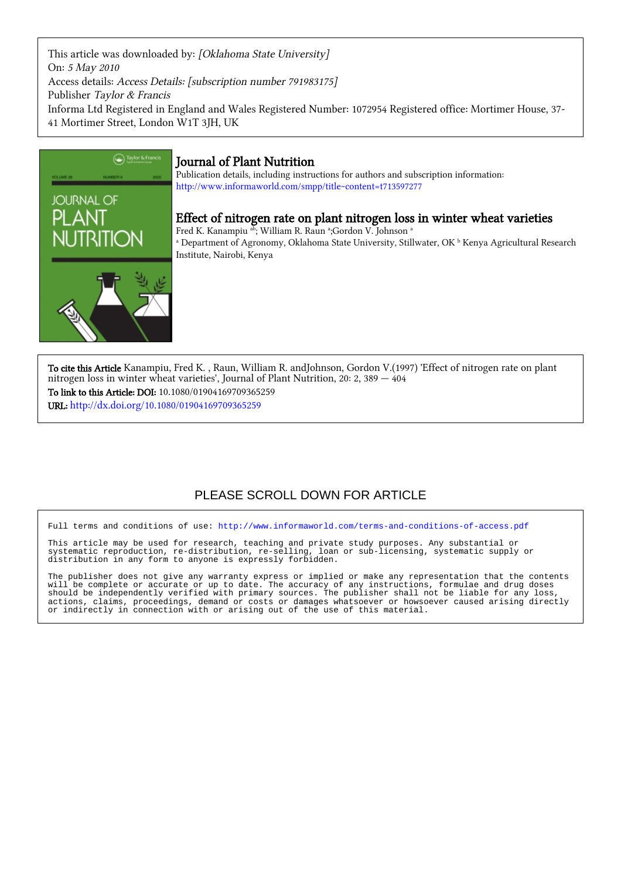This article was downloaded by: [Oklahoma State University] On: 5 May 2010 Access details: Access Details: [subscription number 791983175] Publisher Taylor & Francis Informa Ltd Registered in England and Wales Registered Number: 1072954 Registered office: Mortimer House, 37- 41 Mortimer Street, London W1T 3JH, UK



## Journal of Plant Nutrition

Publication details, including instructions for authors and subscription information: <http://www.informaworld.com/smpp/title~content=t713597277>

### Effect of nitrogen rate on plant nitrogen loss in winter wheat varieties

Fred K. Kanampiu ab ; William R. Raun <sup>a</sup> ;Gordon V. Johnson <sup>a</sup> <sup>a</sup> Department of Agronomy, Oklahoma State University, Stillwater, OK <sup>b</sup> Kenya Agricultural Research Institute, Nairobi, Kenya

To cite this Article Kanampiu, Fred K. , Raun, William R. andJohnson, Gordon V.(1997) 'Effect of nitrogen rate on plant nitrogen loss in winter wheat varieties', Journal of Plant Nutrition, 20: 2, 389 — 404 To link to this Article: DOI: 10.1080/01904169709365259 URL: <http://dx.doi.org/10.1080/01904169709365259>

## PLEASE SCROLL DOWN FOR ARTICLE

Full terms and conditions of use:<http://www.informaworld.com/terms-and-conditions-of-access.pdf>

This article may be used for research, teaching and private study purposes. Any substantial or systematic reproduction, re-distribution, re-selling, loan or sub-licensing, systematic supply or distribution in any form to anyone is expressly forbidden.

The publisher does not give any warranty express or implied or make any representation that the contents will be complete or accurate or up to date. The accuracy of any instructions, formulae and drug doses should be independently verified with primary sources. The publisher shall not be liable for any loss, actions, claims, proceedings, demand or costs or damages whatsoever or howsoever caused arising directly or indirectly in connection with or arising out of the use of this material.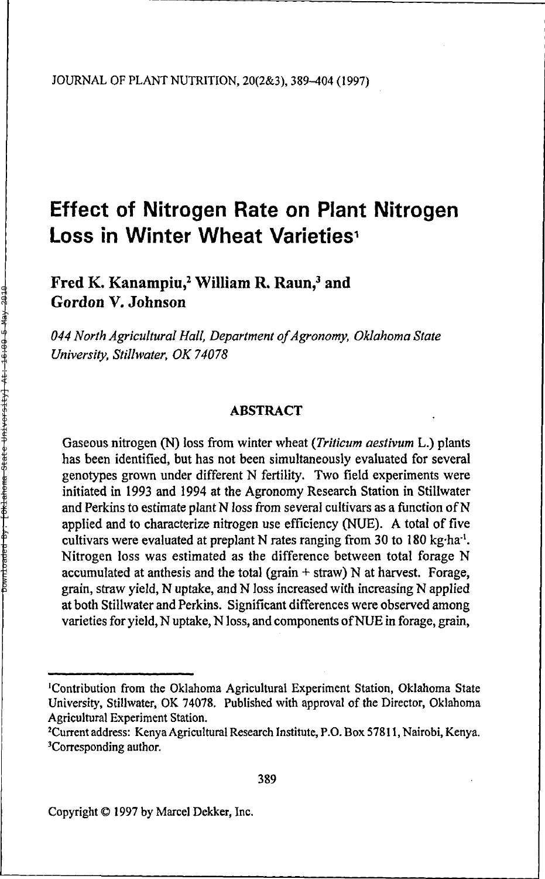# **Effect of Nitrogen Rate on Plant Nitrogen Loss in Winter Wheat Varieties<sup>1</sup>**

Fred K. Kanampiu,<sup>2</sup> William R. Raun,<sup>3</sup> and Gordon V. Johnson

*044 North Agricultural Hall, Department of Agronomy, Oklahoma State University, Stillwater, OK 74078*

#### **ABSTRACT**

Gaseous nitrogen (N) loss from winter wheat *(Triticum aestivum* L.) plants has been identified, but has not been simultaneously evaluated for several genotypes grown under different N fertility. Two field experiments were initiated in 1993 and 1994 at the Agronomy Research Station in Stillwater and Perkins to estimate plant N loss from several cultivars as a function of N applied and to characterize nitrogen use efficiency (NUE). A total of five cultivars were evaluated at preplant N rates ranging from 30 to 180 kg·ha<sup>-1</sup>. Nitrogen loss was estimated as the difference between total forage N accumulated at anthesis and the total (grain  $+$  straw) N at harvest. Forage, grain, straw yield, N uptake, and N loss increased with increasing N applied at both Stillwater and Perkins. Significant differences were observed among varieties for yield, N uptake, N loss, and components of NUE in forage, grain,

<sup>1</sup>Contribution from the Oklahoma Agricultural Experiment Station, Oklahoma State University, Stillwater, OK 74078. Published with approval of the Director, Oklahoma Agricultural Experiment Station.

<sup>2</sup>Current address: Kenya Agricultural Research Institute, P.O. Box 57811, Nairobi, Kenya. <sup>3</sup>Corresponding author.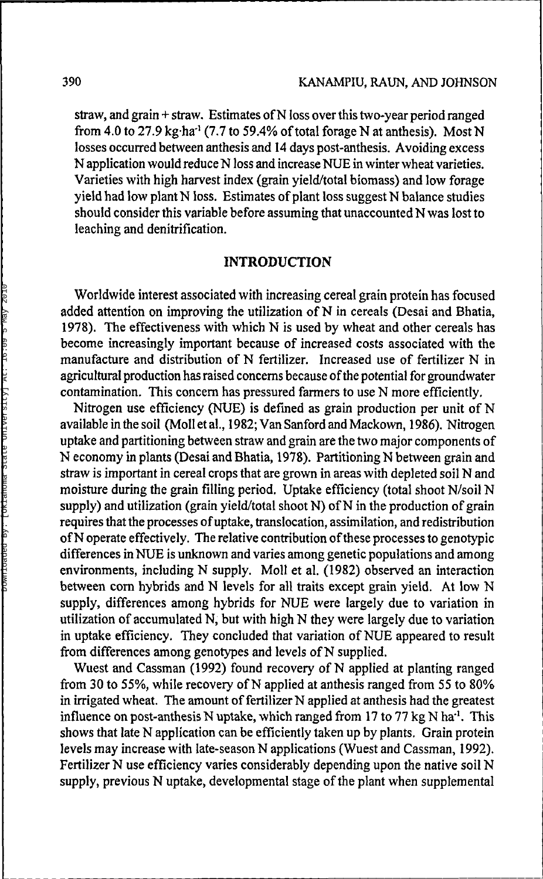straw, and grain + straw. Estimates of N loss over this two-year period ranged from 4.0 to 27.9  $kg$  ha<sup>-1</sup> (7.7 to 59.4% of total forage N at anthesis). Most N losses occurred between anthesis and 14 days post-anthesis. Avoiding excess N application would reduce N loss and increase NUE in winter wheat varieties. Varieties with high harvest index (grain yield/total biomass) and low forage yield had low plant N loss. Estimates of plant loss suggest N balance studies should consider this variable before assuming that unaccounted N was lost to leaching and denitrification.

#### **INTRODUCTION**

Worldwide interest associated with increasing cereal grain protein has focused added attention on improving the utilization of N in cereals (Desai and Bhatia, 1978). The effectiveness with which N is used by wheat and other cereals has become increasingly important because of increased costs associated with the manufacture and distribution of N fertilizer. Increased use of fertilizer N in agricultural production has raised concerns because of the potential for groundwater contamination. This concern has pressured farmers to use N more efficiently.

Nitrogen use efficiency (NUE) is defined as grain production per unit of N available in the soil (Moll et al., 1982; Van Sanford and Mackown, 1986). Nitrogen uptake and partitioning between straw and grain are the two major components of N economy in plants (Desai and Bhatia, 1978). Partitioning N between grain and straw is important in cereal crops that are grown in areas with depleted soil N and moisture during the grain filling period. Uptake efficiency (total shoot N/soil N supply) and utilization (grain yield/total shoot N) of N in the production of grain requires that the processes of uptake, translocation, assimilation, and redistribution of N operate effectively. The relative contribution of these processes to genotypic differences in NUE is unknown and varies among genetic populations and among environments, including N supply. Moll et al. (1982) observed an interaction between corn hybrids and N levels for all traits except grain yield. At low N supply, differences among hybrids for NUE were largely due to variation in utilization of accumulated N, but with high N they were largely due to variation in uptake efficiency. They concluded that variation of NUE appeared to result from differences among genotypes and levels of N supplied.

Wuest and Cassman (1992) found recovery of N applied at planting ranged from 30 to 55%, while recovery of N applied at anthesis ranged from 55 to 80% in irrigated wheat. The amount of fertilizer N applied at anthesis had the greatest influence on post-anthesis N uptake, which ranged from 17 to 77 kg N ha<sup>-1</sup>. This shows that late N application can be efficiently taken up by plants. Grain protein levels may increase with late-season N applications (Wuest and Cassman, 1992). Fertilizer N use efficiency varies considerably depending upon the native soil N supply, previous N uptake, developmental stage of the plant when supplemental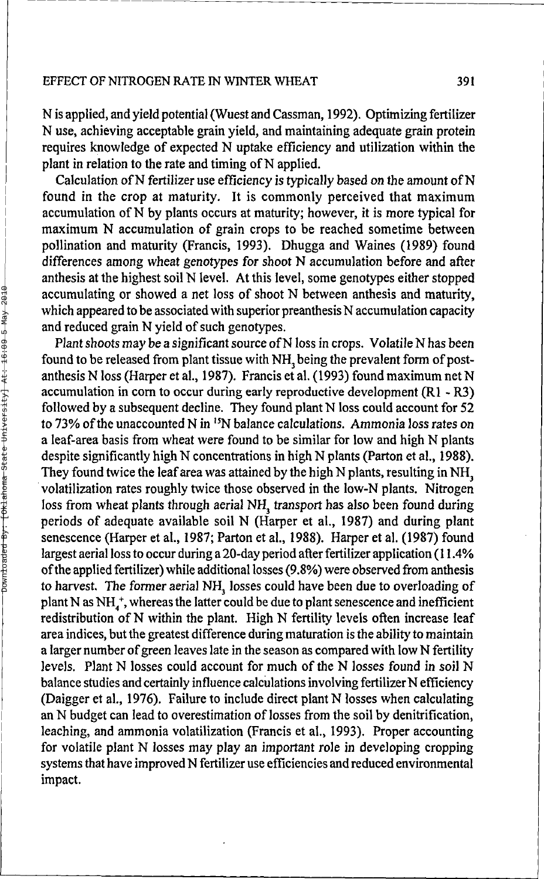N is applied, and yield potential (Wuest and Cassman, 1992). Optimizing fertilizer N use, achieving acceptable grain yield, and maintaining adequate grain protein requires knowledge of expected N uptake efficiency and utilization within the plant in relation to the rate and timing of N applied.

Calculation of N fertilizer use efficiency is typically based on the amount of N found in the crop at maturity. It is commonly perceived that maximum accumulation of N by plants occurs at maturity; however, it is more typical for maximum N accumulation of grain crops to be reached sometime between pollination and maturity (Francis, 1993). Dhugga and Waines (1989) found differences among wheat genotypes for shoot N accumulation before and after anthesis at the highest soil N level. At this level, some genotypes either stopped accumulating or showed a net loss of shoot N between anthesis and maturity, which appeared to be associated with superior preanthesis N accumulation capacity and reduced grain N yield of such genotypes.

Plant shoots may be a significant source of N loss in crops. Volatile N has been found to be released from plant tissue with NH<sub>3</sub> being the prevalent form of postanthesis N loss (Harper et al., 1987). Francis et al. ( 1993) found maximum net N accumulation in corn to occur during early reproductive development  $(R1 - R3)$ followed by a subsequent decline. They found plant N loss could account for 52 to 73% of the unaccounted N in <sup>15</sup>N balance calculations. Ammonia loss rates on a leaf-area basis from wheat were found to be similar for low and high N plants despite significantly high N concentrations in high N plants (Parton et al., 1988). They found twice the leaf area was attained by the high N plants, resulting in NH, volatilization rates roughly twice those observed in the low-N plants. Nitrogen loss from wheat plants through aerial NH<sub>3</sub> transport has also been found during periods of adequate available soil N (Harper et al., 1987) and during plant senescence (Harper et al., 1987; Parton et al., 1988). Harper et al. (1987) found largest aerial loss to occur during a 20-day period after fertilizer application (11.4% of the applied fertilizer) while additional losses (9.8%) were observed from anthesis to harvest. The former aerial NH<sub>3</sub> losses could have been due to overloading of of the vest the femmer actual risk, to see could have contrained to cremeating of plant N as NH<sup>+</sup>, whereas the latter could be due to plant senescence and inefficient redistribution of N within the plant. High N fertility levels often increase leaf area indices, but the greatest difference during maturation is the ability to maintain a larger number of green leaves late in the season as compared with low N fertility levels. Plant N losses could account for much of the N losses found in soil N balance studies and certainly influence calculations involving fertilizer N efficiency (Daigger et al, 1976). Failure to include direct plant N losses when calculating an N budget can lead to overestimation of losses from the soil by denitrification, leaching, and ammonia volatilization (Francis et al., 1993). Proper accounting for volatile plant N losses may play an important role in developing cropping systems that have improved N fertilizer use efficiencies and reduced environmental impact.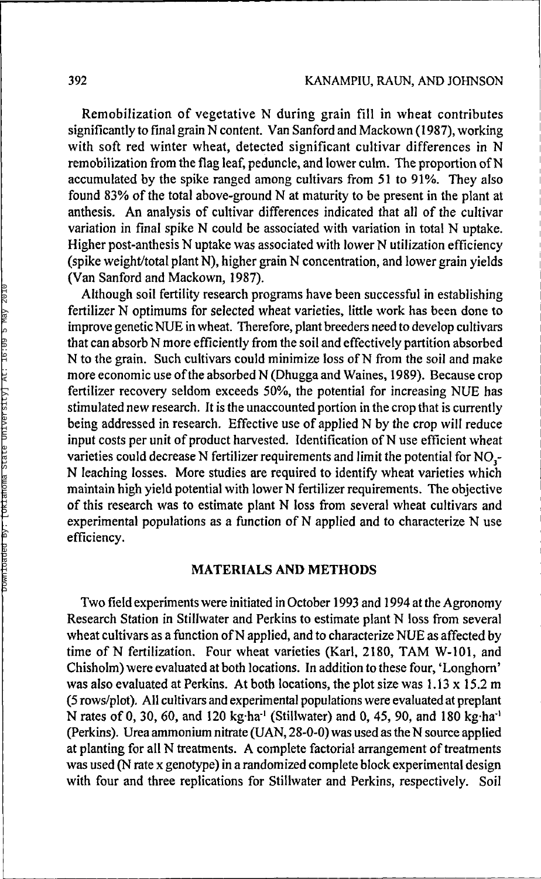Remobilization of vegetative N during grain fill in wheat contributes significantly to final grain N content. Van Sanford and Mackown (1987), working with soft red winter wheat, detected significant cultivar differences in N remobilization from the flag leaf, peduncle, and lower culm. The proportion of N accumulated by the spike ranged among cultivars from 51 to 91%. They also found 83% of the total above-ground N at maturity to be present in the plant at anthesis. An analysis of cultivar differences indicated that all of the cultivar variation in final spike N could be associated with variation in total N uptake. Higher post-anthesis N uptake was associated with lower N utilization efficiency (spike weight/total plant N), higher grain N concentration, and lower grain yields (Van Sanford and Mackown, 1987).

Although soil fertility research programs have been successful in establishing fertilizer N optimums for selected wheat varieties, little work has been done to improve genetic NUE in wheat. Therefore, plant breeders need to develop cultivars that can absorb N more efficiently from the soil and effectively partition absorbed N to the grain. Such cultivars could minimize loss of N from the soil and make more economic use of the absorbed N (Dhugga and Waines, 1989). Because crop fertilizer recovery seldom exceeds 50%, the potential for increasing NUE has stimulated new research. It is the unaccounted portion in the crop that is currently being addressed in research. Effective use of applied N by the crop will reduce input costs per unit of product harvested. Identification of N use efficient wheat varieties could decrease N fertilizer requirements and limit the potential for NO<sub>3</sub>-N leaching losses. More studies are required to identify wheat varieties which maintain high yield potential with lower N fertilizer requirements. The objective of this research was to estimate plant N loss from several wheat cultivars and experimental populations as a function of N applied and to characterize N use efficiency.

#### **MATERIALS AND METHODS**

Two field experiments were initiated in October 1993 and 1994 at the Agronomy Research Station in Stillwater and Perkins to estimate plant N loss from several wheat cultivars as a function of N applied, and to characterize NUE as affected by time of N fertilization. Four wheat varieties (Karl, 2180, TAM W-101, and Chisholm) were evaluated at both locations. In addition to these four, 'Longhorn' was also evaluated at Perkins. At both locations, the plot size was  $1.13 \times 15.2$  m (5 rows/plot). All cultivars and experimental populations were evaluated at preplant N rates of 0, 30, 60, and 120 kg ha<sup>-1</sup> (Stillwater) and 0, 45, 90, and 180 kg ha<sup>-1</sup> (Perkins). Urea ammonium nitrate (UAN, 28-0-0) was used as the N source applied at planting for all N treatments. A complete factorial arrangement of treatments was used (N rate x genotype) in a randomized complete block experimental design with four and three replications for Stillwater and Perkins, respectively. Soil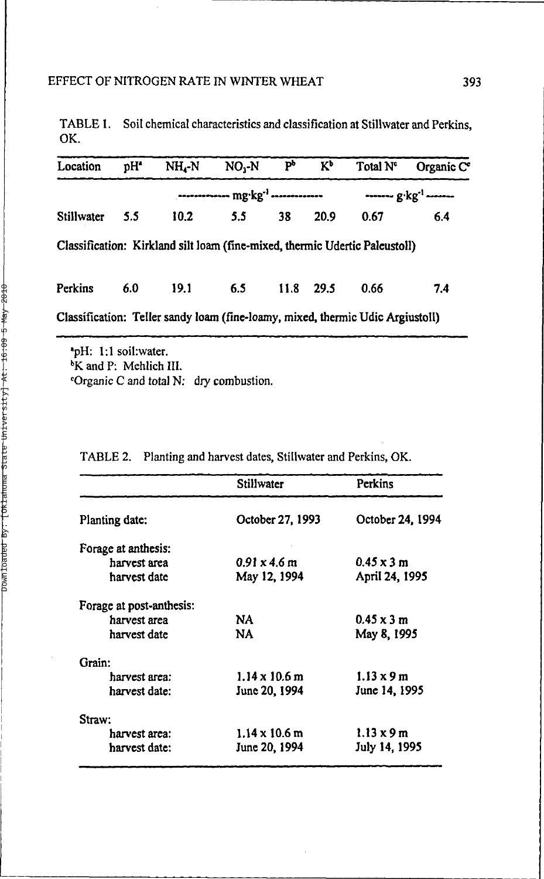|     | TABLE 1. Soil chemical characteristics and classification at Stillwater and Perkins, |
|-----|--------------------------------------------------------------------------------------|
| OK. |                                                                                      |

| Location   | pH <sup>*</sup> | $NH_A-N$ | NO.-N | Ъp | $K_p$     | Total N <sup>e</sup>                                                           | Organic C <sup>o</sup> |
|------------|-----------------|----------|-------|----|-----------|--------------------------------------------------------------------------------|------------------------|
|            |                 |          |       |    |           |                                                                                |                        |
| Stillwater | 5.5             | 10.2     | 5.5   | 38 | 20.9      | 0.67                                                                           | 6.4                    |
|            |                 |          |       |    |           | Classification: Kirkland silt loam (fine-mixed, thermic Udertic Paleustoll)    |                        |
| Perkins    | 6.0             | 19.1     | 6.5   |    | 11.8 29.5 | 0.66                                                                           | 7.4                    |
|            |                 |          |       |    |           | Classification: Teller sandy loam (fine-loamy, mixed, thermic Udic Argiustoll) |                        |

\*pH: 1:1 soil:water. <sup>b</sup>K and P: Mehlich III. 'Organic C and total N: dry combustion.

|                          | Stillwater           | Perkins                   |
|--------------------------|----------------------|---------------------------|
| Planting date:           | October 27, 1993     | October 24, 1994          |
| Forage at anthesis:      |                      |                           |
| harvest area             | $0.91 \times 4.6$ m  | $0.45 \times 3 \text{ m}$ |
| harvest date             | May 12, 1994         | April 24, 1995            |
| Forage at post-anthesis: |                      |                           |
| harvest area             | NA                   | $0.45 \times 3$ m         |
| harvest date             | NA                   | May 8, 1995               |
| Grain:                   |                      |                           |
| harvest area:            | $1.14 \times 10.6$ m | $1.13 \times 9$ m         |
| harvest date:            | June 20, 1994        | June 14, 1995             |
| Straw:                   |                      |                           |
| harvest area:            | $1.14 \times 10.6$ m | $1.13 \times 9$ m         |
| harvest date:            | June 20, 1994        | July 14, 1995             |

TABLE 2. Planting and harvest dates, Stillwater and Perkins, OK.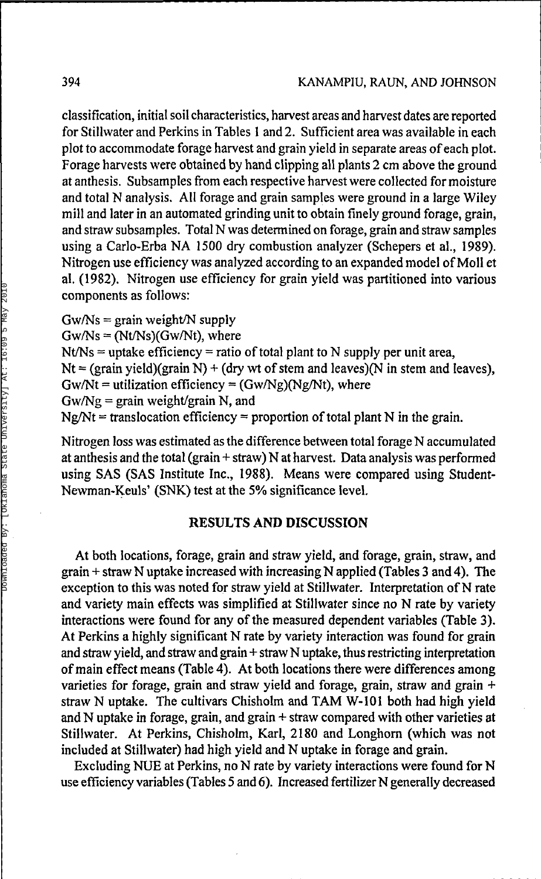classification, initial soil characteristics, harvest areas and harvest dates are reported for Stillwater and Perkins in Tables 1 and 2. Sufficient area was available in each plot to accommodate forage harvest and grain yield in separate areas of each plot. Forage harvests were obtained by hand clipping all plants 2 cm above the ground at anthesis. Subsamples from each respective harvest were collected for moisture and total N analysis. All forage and grain samples were ground in a large Wiley mill and later in an automated grinding unit to obtain finely ground forage, grain, and straw subsamples. Total N was determined on forage, grain and straw samples using a Carlo-Erba NA 1500 dry combustion analyzer (Schepers et al., 1989). Nitrogen use efficiency was analyzed according to an expanded model of Moll et al. (1982). Nitrogen use efficiency for grain yield was partitioned into various components as follows:

 $Gw/Ns = \text{grain weight/N supply}$  $Gw/Ns = (Nt/Ns)(Gw/Nt)$ , where  $Nt/Ns =$  uptake efficiency = ratio of total plant to N supply per unit area,  $Nt = (grain yield)(grain N) + (dry wt of stem and leaves)(N in stem and leaves),$  $Gw/Nt =$  utilization efficiency =  $(Gw/Ng)(Ng/Nt)$ , where  $Gw/Ng = \frac{1}{2}$  grain weight/grain N, and  $Ng/Nt =$  translocation efficiency = proportion of total plant N in the grain.

Nitrogen loss was estimated as the difference between total forage N accumulated at anthesis and the total (grain+straw) N at harvest. Data analysis was performed using SAS (SAS Institute Inc., 1988). Means were compared using Student-Newman-Keuls' (SNK) test at the *5%* significance level.

#### **RESULTS AND DISCUSSION**

At both locations, forage, grain and straw yield, and forage, grain, straw, and grain + straw N uptake increased with increasing N applied (Tables 3 and 4). The exception to this was noted for straw yield at Stillwater. Interpretation of N rate and variety main effects was simplified at Stillwater since no N rate by variety interactions were found for any of the measured dependent variables (Table 3). At Perkins a highly significant N rate by variety interaction was found for grain and straw yield, and straw and grain+straw N uptake, thus restricting interpretation of main effect means (Table 4). At both locations there were differences among varieties for forage, grain and straw yield and forage, grain, straw and grain + straw N uptake. The cultivars Chisholm and TAM W-101 both had high yield and N uptake in forage, grain, and grain + straw compared with other varieties at Stillwater. At Perkins, Chisholm, Karl, 2180 and Longhorn (which was not included at Stillwater) had high yield and N uptake in forage and grain.

Excluding NUE at Perkins, no N rate by variety interactions were found for N use efficiency variables (Tables 5 and 6). Increased fertilizer N generally decreased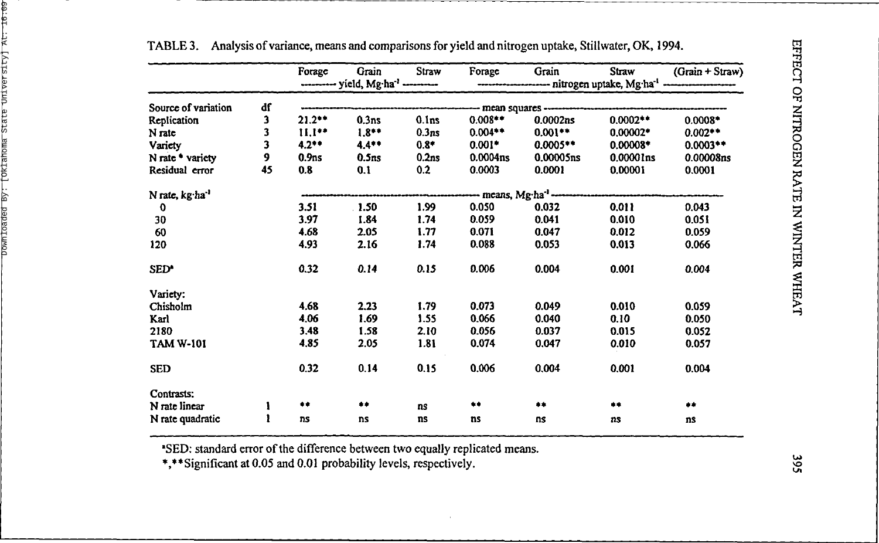|                             |    | Forage            | Grain             | Straw             | Forage                         | Grain                 | Straw                                                           | $(Grain + Straw)$ |
|-----------------------------|----|-------------------|-------------------|-------------------|--------------------------------|-----------------------|-----------------------------------------------------------------|-------------------|
|                             |    |                   |                   |                   |                                |                       | ----- nitrogen uptake, Mg·ha <sup>-1</sup> -------------------- |                   |
| Source of variation         | df |                   |                   |                   |                                | mean squares -------- |                                                                 |                   |
| Replication                 | 3  | $21.2***$         | 0.3ns             | 0.1 <sub>ns</sub> | $0.008**$                      | 0.0002ns              | $0.0002**$                                                      | $0.0008*$         |
| N rate                      | 3  | $11.1***$         | $1.8**$           | 0.3ns             | $0.004**$                      | $0.001**$             | $0.00002*$                                                      | $0.002**$         |
| Variety                     | 3  | $4.2**$           | $4.4***$          | $0.8*$            | $0.001*$                       | $0.0005**$            | $0.00008*$                                                      | $0.0003**$        |
| N rate * variety            | 9  | 0.9 <sub>ns</sub> | 0.5 <sub>ns</sub> | 0.2ns             | 0.0004 <sub>ns</sub>           | 0.00005ns             | 0.00001ns                                                       | 0.00008ns         |
| Residual error              | 45 | 0.8               | 0.1               | 0.2               | 0.0003                         | 0.0001                | 0.00001                                                         | 0.0001            |
| N rate, kg ha <sup>-1</sup> |    |                   |                   |                   | means, Mg·ha <sup>-1</sup> --- |                       |                                                                 |                   |
| $\mathbf 0$                 |    | 3.51              | 1.50              | 1.99              | 0.050                          | 0.032                 | 0.011                                                           | 0.043             |
| 30                          |    | 3.97              | 1.84              | 1.74              | 0.059                          | 0.041                 | 0.010                                                           | 0.051             |
| 60                          |    | 4.68              | 2.05              | 1.77              | 0.071                          | 0.047                 | 0.012                                                           | 0.059             |
| 120                         |    | 4.93              | 2.16              | 1.74              | 0.088                          | 0.053                 | 0.013                                                           | 0.066             |
| SED <sup>*</sup>            |    | 0.32              | 0.14              | 0.15              | 0.006                          | 0.004                 | 0.001                                                           | 0.004             |
| Variety:                    |    |                   |                   |                   |                                |                       |                                                                 |                   |
| Chisholm                    |    | 4.68              | 2.23              | 1.79              | 0.073                          | 0.049                 | 0.010                                                           | 0.059             |
| Karl                        |    | 4.06              | 1.69              | 1.55              | 0.066                          | 0.040                 | 0.10                                                            | 0.050             |
| 2180                        |    | 3.48              | 1.58              | 2.10              | 0.056                          | 0.037                 | 0.015                                                           | 0.052             |
| <b>TAM W-101</b>            |    | 4.85              | 2.05              | 1.81              | 0.074                          | 0.047                 | 0.010                                                           | 0.057             |
| <b>SED</b>                  |    | 0.32              | 0.14              | 0.15              | 0.006                          | 0.004                 | 0.001                                                           | 0.004             |
| Contrasts:                  |    |                   |                   |                   |                                |                       |                                                                 |                   |
| N rate linear               |    | **                | **                | ns                | $\bullet\bullet$               | **                    | **                                                              | $\bullet\bullet$  |
| N rate quadratic            |    | ns                | ns                | ns                | ns                             | ns                    | ns                                                              | ns                |

TABLE 3. Analysis of variance, means and comparisons for yield and nitrogen uptake, Stillwater, OK, 1994.

"SED: standard error of the difference between two equally replicated means.

\*,\*\*Significant at 0.05 and 0.01 probability levels, respectively.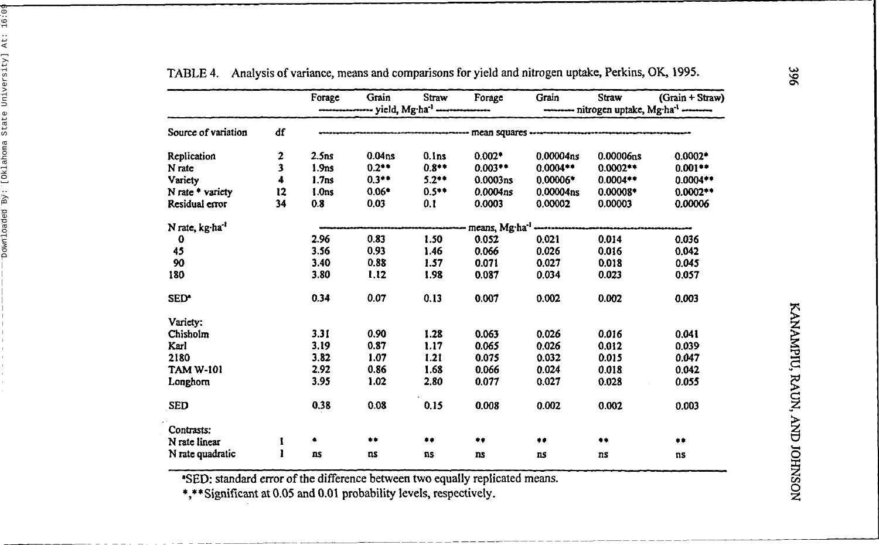|                            |    | Forage            | Grain              | Straw<br>---- yield, Mg·ha <sup>-1</sup> ----------------- | Forage                                | Grain                 | Straw      | (Grain + Straw)<br>--------- nitrogen uptake, Mg-ha <sup>-1</sup> --------- |
|----------------------------|----|-------------------|--------------------|------------------------------------------------------------|---------------------------------------|-----------------------|------------|-----------------------------------------------------------------------------|
|                            |    |                   |                    |                                                            |                                       |                       |            |                                                                             |
| Source of variation        | df |                   |                    |                                                            | ----- mean squares ------             |                       |            |                                                                             |
| Replication                | 2  | 2.5 <sub>ns</sub> | 0.04 <sub>ns</sub> | 0.1 <sub>ns</sub>                                          | $0.002*$                              | 0.00004ns             | 0.00006ns  | $0.0002*$                                                                   |
| N rate                     | 3  | 1.9 <sub>ns</sub> | $0.2***$           | $0.8**$                                                    | $0.003***$                            | $0.0004**$            | $0.0002**$ | $0.001**$                                                                   |
| Variety                    | 4  | 1.7 <sub>ns</sub> | $0.3**$            | $5.2**$                                                    | 0.0003ns                              | $0.00006*$            | $0.0004**$ | $0.0004**$                                                                  |
| N rate * variety           | 12 | 1.0 <sub>ns</sub> | $0.06*$            | $0.5**$                                                    | 0.0004 <sub>ns</sub>                  | 0.00004 <sub>ns</sub> | $0.00008*$ | $0.0002**$                                                                  |
| Residual error             | 34 | 0.8               | 0.03               | 0.1                                                        | 0.0003                                | 0.00002               | 0.00003    | 0.00006                                                                     |
| N rate, kg ha <sup>1</sup> |    |                   |                    |                                                            | means, Mg·ha <sup>-1</sup> ---------- |                       |            |                                                                             |
| $\bf{0}$                   |    | 2.96              | 0.83               | 1.50                                                       | 0.052                                 | 0.021                 | 0.014      | 0.036                                                                       |
| 45                         |    | 3.56              | 0.93               | 1.46                                                       | 0.066                                 | 0.026                 | 0.016      | 0.042                                                                       |
| 90                         |    | 3.40              | 0.88               | 1.57                                                       | 0.071                                 | 0.027                 | 0.018      | 0.045                                                                       |
| 180                        |    | 3.80              | 1.12               | 1.98                                                       | 0.087                                 | 0.034                 | 0.023      | 0.057                                                                       |
| SED <sup>*</sup>           |    | 0.34              | 0.07               | 0.13                                                       | 0.007                                 | 0.002                 | 0.002      | 0.003                                                                       |
| Varicty:                   |    |                   |                    |                                                            |                                       |                       |            |                                                                             |
| Chisholm                   |    | 3.31              | 0.90               | 1.28                                                       | 0.063                                 | 0.026                 | 0.016      | 0.041                                                                       |
| Karl                       |    | 3.19              | 0.87               | 1.17                                                       | 0.065                                 | 0.026                 | 0.012      | 0.039                                                                       |
| 2180                       |    | 3.82              | 1.07               | 1.21                                                       | 0.075                                 | 0.032                 | 0.015      | 0.047                                                                       |
| TAM W-101                  |    | 2.92              | 0.86               | 1.68                                                       | 0.066                                 | 0.024                 | 0.018      | 0.042                                                                       |
| Longhorn                   |    | 3.95              | 1.02               | 2.80                                                       | 0.077                                 | 0.027                 | 0.028      | 0.055                                                                       |
| <b>SED</b>                 |    | 0.38              | 0.08               | 0.15                                                       | 0.008                                 | 0.002                 | 0.002      | 0.003                                                                       |
| Contrasts:                 |    |                   |                    |                                                            |                                       |                       |            |                                                                             |
| N rate linear              | I  | ٠                 | **                 | $\bullet\bullet$                                           | **                                    | $\ddot{\phantom{1}}$  | **         | $+ +$                                                                       |
| N rate quadratic           | ı  | ns                | ns                 | ns                                                         | ns                                    | <b>ns</b>             | ns         | ns                                                                          |

TABLE 4. Analysis of variance, means and comparisons for yield and nitrogen uptake, Perkins, OK, 1995.

\*SED: standard error of the difference between two equally replicated means.

\*,\*\*Significant at 0.05 and 0.01 probability levels, respectively.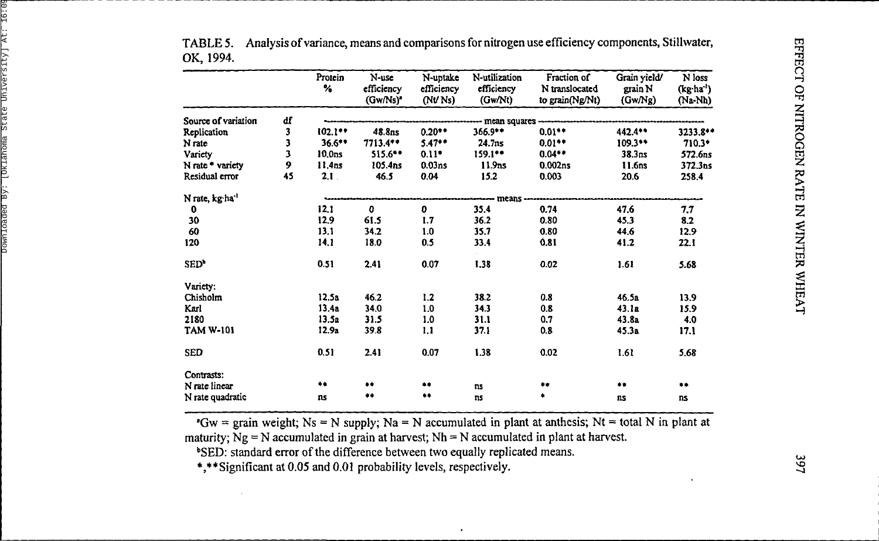|                             |    | Protein<br>%       | N-use<br>efficiency  | N-uptake<br>efficiency | N-utilization<br>efficiency | Fraction of<br>N translocated | Grain yield/<br>grain N | N loss<br>(kg ha') |
|-----------------------------|----|--------------------|----------------------|------------------------|-----------------------------|-------------------------------|-------------------------|--------------------|
|                             |    |                    | (Gw/Ns) <sup>*</sup> | (Nt/Ns)                | (Gw/Nt)                     | to grain(Ng/Nt)               | (GwNg)                  | (Na-Nh)            |
| Source of variation         | df |                    |                      |                        | mean squares                |                               |                         |                    |
| Replication                 | 3  | 102.1**            | 48.8ns               | $0.20**$               | 366.9**                     | $0.01**$                      | 442.4**                 | 3233.8**           |
| N rate                      | 3  | $36.6***$          | $7713.4***$          | $5.47**$               | 24.7ns                      | $0.01**$                      | $109.3**$               | 710.3*             |
| Varicty                     | 3  | 10.0 <sub>ns</sub> | 515.6**              | $0.11*$                | $159.1***$                  | $0.04**$                      | 38.3ns                  | 572.6ns            |
| N rate * variety            | 9  | 11.4ns             | 105.4ns              | 0.03ns                 | 11.9 <sub>ns</sub>          | 0.002ns                       | 11.6ns                  | 372.3ns            |
| Residual error              | 45 | 2.1                | 46.5                 | 0.04                   | 15.2                        | 0.003                         | 20.6                    | 258.4              |
| N rate, kg·ha <sup>-1</sup> |    |                    |                      |                        | ---- means --               |                               |                         |                    |
| 0                           |    | 12.1               | $\bf{0}$             | 0                      | 35.4                        | 0.74                          | 47.6                    | 7,7                |
| 30                          |    | 12.9               | 61.5                 | 1.7                    | 36.2                        | 0.80                          | 45.3                    | 8.2                |
| 60                          |    | 13.1               | 34.2                 | 1.0                    | 35.7                        | 0.80                          | 44.6                    | 12.9               |
| 120                         |    | 14.1               | 18.0                 | 0.5                    | 33.4                        | 0.81                          | 41.2                    | 22.1               |
| SED <sup>+</sup>            |    | 0.51               | 2.41                 | 0.07                   | 1.38                        | 0.02                          | 1.61                    | 5.68               |
| Variety:                    |    |                    |                      |                        |                             |                               |                         |                    |
| Chisholm                    |    | 12.5a              | 46.2                 | 1.2                    | 38.2                        | 0.8                           | 46.5a                   | 13.9               |
| Karl                        |    | 13.4a              | 34.0                 | 1.0                    | 34.3                        | 0.8                           | 43.1a                   | 15.9               |
| 2180                        |    | 13.5a              | 31.5                 | 1.0                    | 31.1                        | 0.7                           | 43.8a                   | 4.0                |
| <b>TAM W-101</b>            |    | 12.9a              | 39.8                 | 1.1                    | 37.1                        | 0.8                           | 45.3a                   | 17.1               |
| <b>SED</b>                  |    | 0.51               | 2.41                 | 0.07                   | 1.38                        | 0.02                          | 1.61                    | 5.68               |
| Contrasts:                  |    |                    |                      |                        |                             |                               |                         |                    |
| N rate linear               |    | 幸楽                 | $\bullet\bullet$     |                        | ns                          | **                            | $***$                   | **                 |
| N rate quadratic            |    | ns                 | **                   | **                     | ns                          |                               | ns                      | ns                 |

Analysis of variance, means and comparisons for nitrogen use efficiency components, Stillwater, TABLE 5. OK, 1994.

"Gw = grain weight; Ns = N supply; Na = N accumulated in plant at anthesis; Nt = total N in plant at maturity;  $Ng = N$  accumulated in grain at harvest;  $Nh = N$  accumulated in plant at harvest.

<sup>b</sup>SED: standard error of the difference between two equally replicated means.

\*,\*\*Significant at 0.05 and 0.01 probability levels, respectively.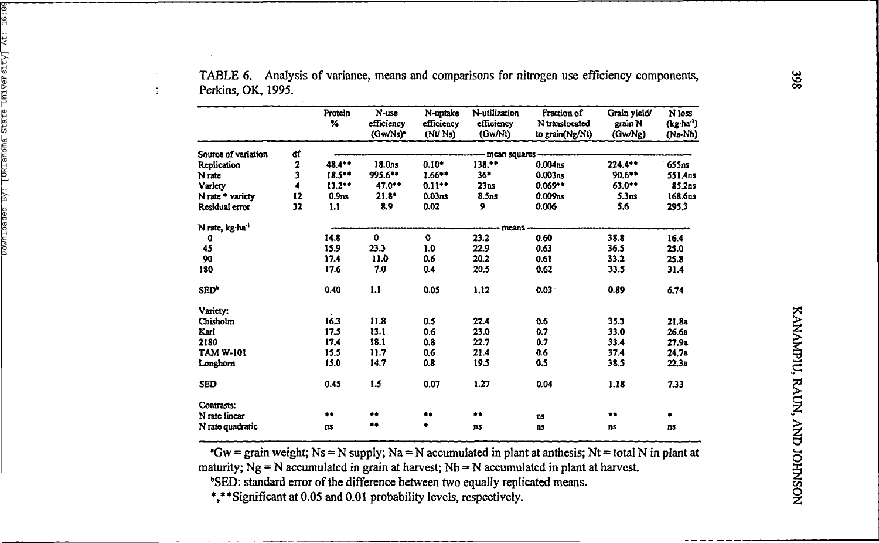|                     |    | Protein<br>%      | N-use<br>efficiency | N-uptake<br>efficiency | N-utilization<br>efficiency | Fraction of<br>N translocated | Grain yield/<br>grain N | N loss<br>(kg ha' |
|---------------------|----|-------------------|---------------------|------------------------|-----------------------------|-------------------------------|-------------------------|-------------------|
|                     |    |                   | (Gw/Ns)*            | (NV Ns)                | (GwNt)                      | to grain(Ng/Nt)               | (GwNg)                  | (Na-Nh)           |
| Source of variation | ď  |                   |                     |                        | mean squares -              |                               |                         |                   |
| Replication         | 2  | 48.4**            | 18.0ns              | $0.10*$                | $138.***$                   | 0.004 <sub>ns</sub>           | 224.4**                 | 655ns             |
| N rate              | 3  | $18.54*$          | 995.6**             | $1.66***$              | 36*                         | 0.003ns                       | $90.6***$               | 551.4ns           |
| Variety             | 4  | $13.2**$          | $47.0**$            | $0.11**$               | 23ns                        | $0.069**$                     | $63.0**$                | 85.2ns            |
| N rate * variety    | 12 | 0.9 <sub>ns</sub> | $21.8*$             | 0.03 <sub>ns</sub>     | 8.5ns                       | 0.009 <sub>ns</sub>           | 5.3 <sub>ns</sub>       | 168.6ns           |
| Residual error      | 32 | 1.1               | 8.9                 | 0.02                   | 9                           | 0.006                         | 5.6                     | 295.3             |
| N rate, kg ha'      |    |                   |                     |                        | -- means                    |                               |                         |                   |
| 0                   |    | 14.8              | 0                   | $\bf{o}$               | 23.2                        | 0.60                          | 38.8                    | 16.4              |
| 45                  |    | 15.9              | 23.3                | 1.0                    | 22.9                        | 0.63                          | 36.5                    | 25.0              |
| 90                  |    | 17.4              | 11.0                | 0.6                    | 20.2                        | 0.61                          | 33.2                    | 25.8              |
| 180                 |    | 17.6              | 7.0                 | 0.4                    | 20.5                        | 0.62                          | 33.5                    | 31.4              |
| SED <sup>+</sup>    |    | 0.40              | 1.1                 | 0.05                   | 1.12                        | $0.03 +$                      | 0.89                    | 6,74              |
| Variety:            |    |                   |                     |                        |                             |                               |                         |                   |
| Chisholm            |    | 16.3              | 11.8                | 0.5                    | 22.4                        | 0.6                           | 35.3                    | 21.8a             |
| Karl                |    | 17.5              | 13.1                | 0.6                    | 23.0                        | 0.7                           | 33.0                    | 26.6a             |
| 2180                |    | 17.4              | 18.1                | 0.8                    | 22.7                        | 0.7                           | 33.4                    | 27.9a             |
| <b>TAM W-101</b>    |    | 15.5              | 11.7                | 0.6                    | 21.4                        | 0.6                           | 37.4                    | 24.7a             |
| Longhorn            |    | 15.0              | 14.7                | 0.8                    | 19.5                        | 0.5                           | 38.5                    | 22.3a             |
| <b>SED</b>          |    | 0.45              | 1.5                 | 0.07                   | 1.27                        | 0.04                          | 1.18                    | 7.33              |
| Contrasts:          |    |                   |                     |                        |                             |                               |                         |                   |
| N rate linear       |    | **                |                     | $\bullet\bullet$       | $\clubsuit\spadesuit$       | ns                            | $\bullet\bullet$        |                   |
| N rate quadratic    |    | ns                |                     | ٠                      | ns                          | ns                            | ns                      | ns                |

TABLE 6. Analysis of variance, means and comparisons for nitrogen use efficiency components, Perkins, OK, 1995.

"Gw = grain weight; Ns = N supply; Na = N accumulated in plant at anthesis; Nt = total N in plant at maturity;  $Ng = N$  accumulated in grain at harvest;  $Nh = N$  accumulated in plant at harvest.

<sup>b</sup>SED: standard error of the difference between two equally replicated means.

\*,\*\*Significant at 0.05 and 0.01 probability levels, respectively.

÷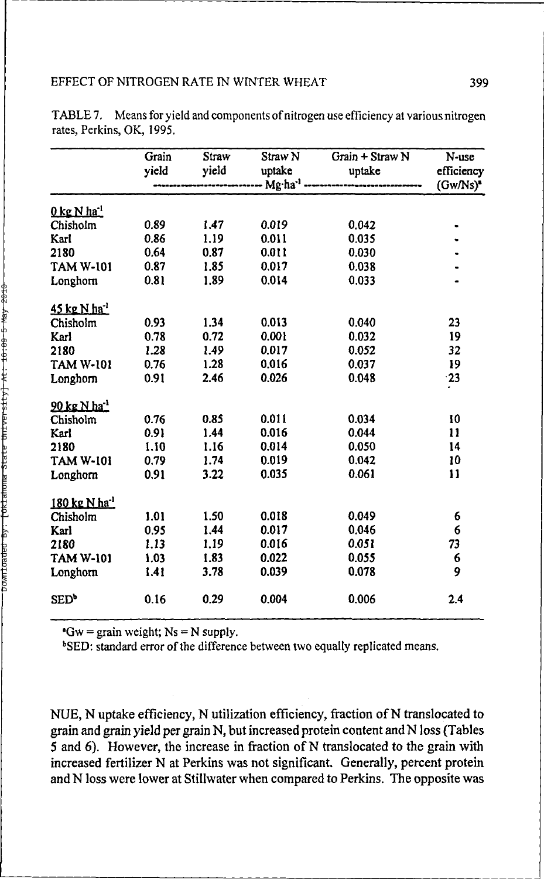|                                  | Grain<br>yield | Straw<br>yield | Straw <sub>N</sub><br>uptake | Grain + Straw N<br>uptake | N-use<br>efficiency |
|----------------------------------|----------------|----------------|------------------------------|---------------------------|---------------------|
|                                  |                | $(Gw/Ns)^*$    |                              |                           |                     |
| $0 \text{ kg N} \text{ ha}^{-1}$ |                |                |                              |                           |                     |
| Chisholm                         | 0.89           | 1.47           | 0.019                        | 0.042                     |                     |
| Karl                             | 0.86           | 1.19           | 0.011                        | 0.035                     |                     |
| 2180                             | 0.64           | 0.87           | 0.011                        | 0.030                     |                     |
| TAM W-101                        | 0.87           | 1.85           | 0.017                        | 0.038                     |                     |
| Longhom                          | 0.81           | 1.89           | 0.014                        | 0.033                     |                     |
| 45 kg N ha <sup>-1</sup>         |                |                |                              |                           |                     |
| Chisholm                         | 0.93           | 1.34           | 0.013                        | 0.040                     | 23                  |
| Karl                             | 0.78           | 0.72           | 0.001                        | 0.032                     | 19                  |
| 2180                             | 1.28           | 1.49           | 0.017                        | 0.052                     | 32                  |
| <b>TAM W-101</b>                 | 0.76           | 1.28           | 0.016                        | 0.037                     | 19                  |
| Longhorn                         | 0.91           | 2.46           | 0.026                        | 0.048                     | 23                  |
| 90 kg N ha <sup>-1</sup>         |                |                |                              |                           |                     |
| Chisholm                         | 0.76           | 0.85           | 0.011                        | 0.034                     | 10                  |
| Karl                             | 0.91           | 1.44           | 0.016                        | 0.044                     | 11                  |
| 2180                             | 1.10           | 1.16           | 0.014                        | 0.050                     | 14                  |
| <b>TAM W-101</b>                 | 0.79           | 1.74           | 0.019                        | 0.042                     | 10                  |
| Longhorn                         | 0.91           | 3.22           | 0.035                        | 0.061                     | 11                  |
| 180 kg N ha <sup>-1</sup>        |                |                |                              |                           |                     |
| Chisholm                         | 1.01           | 1.50           | 0.018                        | 0.049                     | 6                   |
| Karl                             | 0.95           | 1.44           | 0.017                        | 0.046                     | 6                   |
| 2180                             | 1.13           | 1,19           | 0.016                        | 0.051                     | 73                  |
| <b>TAM W-101</b>                 | 1.03           | 1.83           | 0.022                        | 0.055                     | 6                   |
| Longhorn                         | 1.41           | 3.78           | 0.039                        | 0.078                     | 9                   |
| SED <sup>b</sup>                 | 0.16           | 0.29           | 0.004                        | 0.006                     | 2.4                 |

TABLE 7. Means for yield and components of nitrogen use efficiency at various nitrogen rates, Perkins, OK, 1995.

 $\text{``Gw} = \text{grain weight; }\text{Ns} = \text{N supply.}$ 

<sup>b</sup>SED: standard error of the difference between two equally replicated means.

NUE, N uptake efficiency, N utilization efficiency, fraction of N translocated to grain and grain yield per grain N, but increased protein content and N loss (Tables 5 and 6). However, the increase in fraction of N translocated to the grain with increased fertilizer N at Perkins was not significant. Generally, percent protein and N loss were lower at Stillwater when compared to Perkins. The opposite was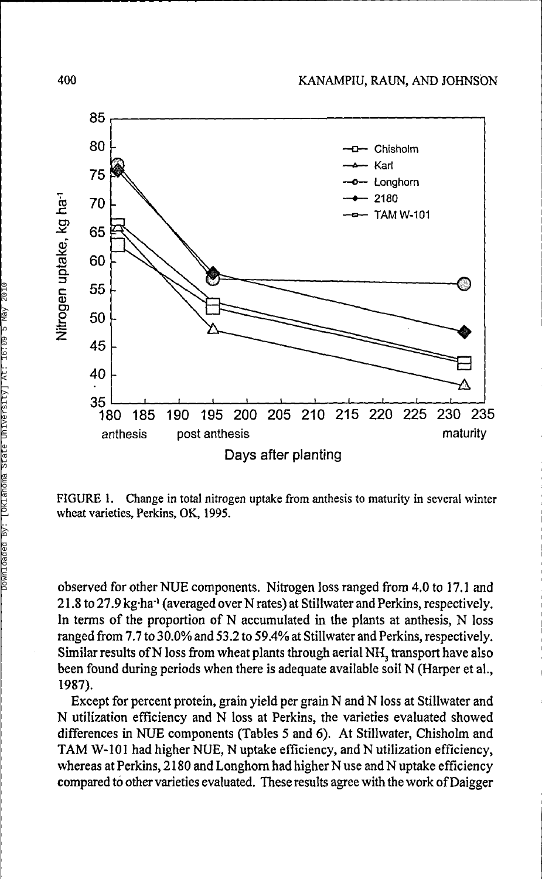

FIGURE 1. Change in total nitrogen uptake from anthesis to maturity in several winter wheat varieties, Perkins, OK, 1995.

observed for other NUE components. Nitrogen loss ranged from 4.0 to 17.1 and 21.8 to 27.9 kg·ha<sup>-1</sup> (averaged over N rates) at Stillwater and Perkins, respectively. In terms of the proportion of N accumulated in the plants at anthesis, N loss ranged from 7.7 to 30.0% and 53.2 to 59.4% at Stillwater and Perkins, respectively. Similar results of N loss from wheat plants through aerial NH<sub>3</sub> transport have also been found during periods when there is adequate available soil N (Harper et al., 1987).

Except for percent protein, grain yield per grain N and N loss at Stillwater and N utilization efficiency and N loss at Perkins, the varieties evaluated showed differences in NUE components (Tables 5 and 6). At Stillwater, Chisholm and TAM W-101 had higher NUE, N uptake efficiency, and N utilization efficiency, whereas at Perkins, 2180 and Longhorn had higher N use and N uptake efficiency compared to other varieties evaluated. These results agree with the work of Daigger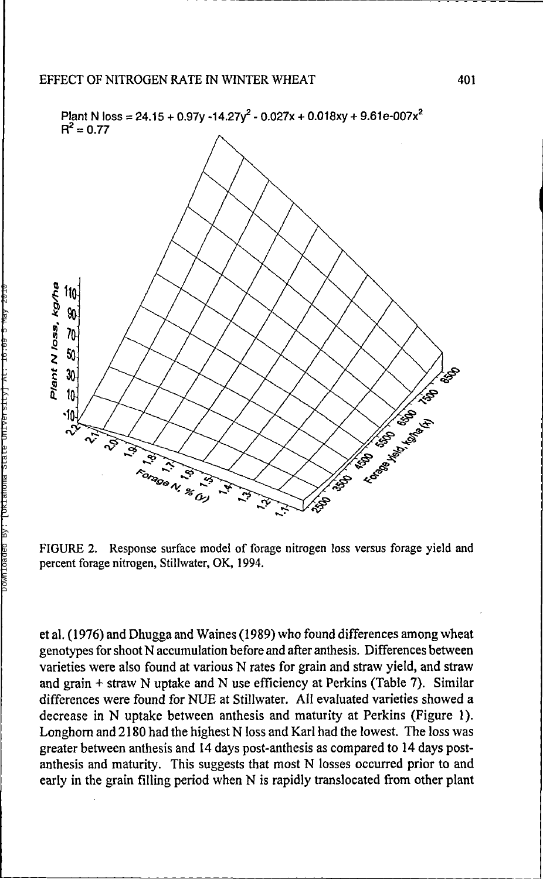

FIGURE 2. Response surface model of forage nitrogen loss versus forage yield and percent forage nitrogen, Stillwater, OK, 1994.

et al. ( 1976) and Dhugga and Waines (1989) who found differences among wheat genotypes for shoot N accumulation before and after anthesis. Differences between varieties were also found at various N rates for grain and straw yield, and straw and grain + straw N uptake and N use efficiency at Perkins (Table 7). Similar differences were found for NUE at Stillwater. All evaluated varieties showed a decrease in N uptake between anthesis and maturity at Perkins (Figure 1). Longhorn and 2180 had the highest N loss and Karl had the lowest. The loss was greater between anthesis and 14 days post-anthesis as compared to 14 days postanthesis and maturity. This suggests that most N losses occurred prior to and early in the grain filling period when N is rapidly translocated from other plant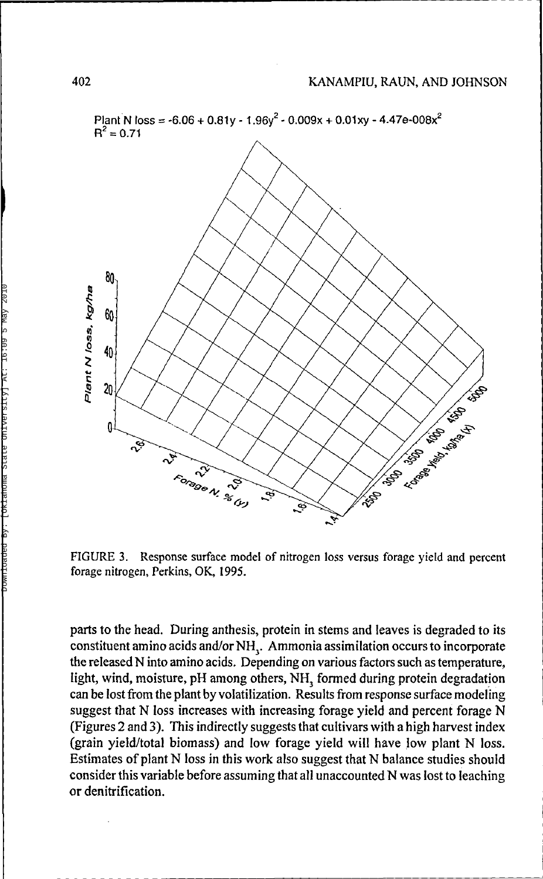

FIGURE 3. Response surface model of nitrogen loss versus forage yield and percent forage nitrogen, Perkins, OK, 1995.

parts to the head. During anthesis, protein in stems and leaves is degraded to its constituent amino acids and/or NH<sub>3</sub>. Ammonia assimilation occurs to incorporate the released N into amino acids. Depending on various factors such as temperature, light, wind, moisture, pH among others, NH<sub>3</sub> formed during protein degradation can be lost from the plant by volatilization. Results from response surface modeling suggest that N loss increases with increasing forage yield and percent forage N (Figures 2 and 3). This indirectly suggests that cultivars with a high harvest index (grain yield/total biomass) and low forage yield will have low plant N loss. Estimates of plant N loss in this work also suggest that N balance studies should consider this variable before assuming that all unaccounted N was lost to leaching or denitrification.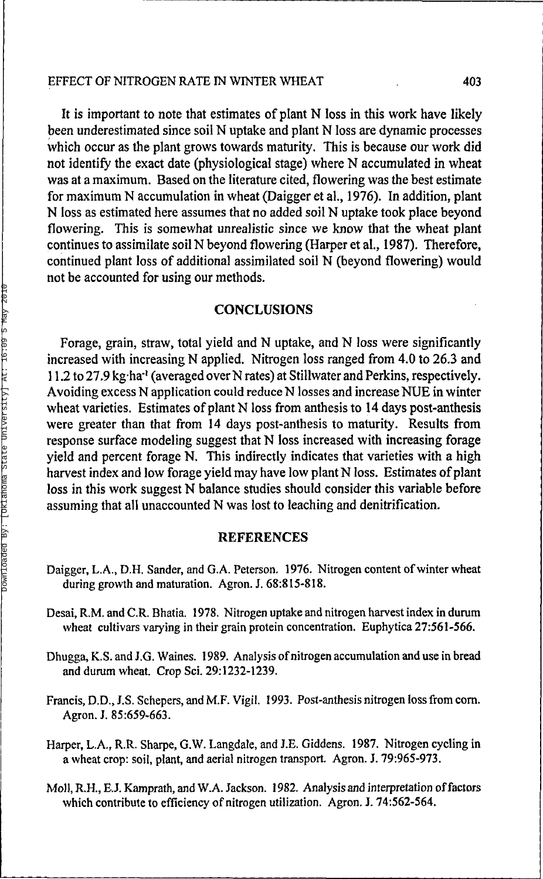#### EFFECT OF NITROGEN RATE IN WINTER WHEAT 403

It is important to note that estimates of plant N loss in this work have likely been underestimated since soil N uptake and plant N loss are dynamic processes which occur as the plant grows towards maturity. This is because our work did not identify the exact date (physiological stage) where N accumulated in wheat was at a maximum. Based on the literature cited, flowering was the best estimate for maximum N accumulation in wheat (Daigger et al., 1976). In addition, plant N loss as estimated here assumes that no added soil N uptake took place beyond flowering. This is somewhat unrealistic since we know that the wheat plant continues to assimilate soil N beyond flowering (Harper et al., 1987). Therefore, continued plant loss of additional assimilated soil N (beyond flowering) would not be accounted for using our methods.

#### **CONCLUSIONS**

Forage, grain, straw, total yield and N uptake, and N loss were significantly increased with increasing N applied. Nitrogen loss ranged from 4.0 to 26.3 and 11.2 to 27.9 kg·ha<sup>-1</sup> (averaged over N rates) at Stillwater and Perkins, respectively. Avoiding excess N application could reduce N losses and increase NUE in winter wheat varieties. Estimates of plant N loss from anthesis to 14 days post-anthesis were greater than that from 14 days post-anthesis to maturity. Results from response surface modeling suggest that N loss increased with increasing forage yield and percent forage  $\breve{N}$ . This indirectly indicates that varieties with a high harvest index and low forage yield may have low plant N loss. Estimates of plant loss in this work suggest N balance studies should consider this variable before assuming that all unaccounted N was lost to leaching and denitrification.

#### REFERENCES

- Daigger, L.A., D.H. Sander, and G.A. Peterson. 1976. Nitrogen content of winter wheat during growth and maturation. Agron. J. 68:815-818.
- Desai, R.M. and C.R. Bhatia. 1978. Nitrogen uptake and nitrogen harvest index in durum wheat cultivars varying in their grain protein concentration. Euphytica 27:561-566.
- Dhugga, K.S. and J.G. Waines. 1989. Analysis of nitrogen accumulation and use in bread and durum wheat. Crop Sci. 29:1232-1239.
- Francis, D.D., J.S. Schepers, and M.F. Vigil. 1993. Post-anthesis nitrogen loss from corn. Agron. J. 85:659-663.
- Harper, L.A., R.R. Sharpe, G.W. Langdale, and J.E. Giddens. 1987. Nitrogen cycling in a wheat crop: soil, plant, and aerial nitrogen transport. Agron. J. 79:965-973.
- Moll, R.H., E.J. Kamprath, and W.A. Jackson. 1982. Analysis and interpretation of factors which contribute to efficiency of nitrogen utilization. Agron. J. 74:562-564.